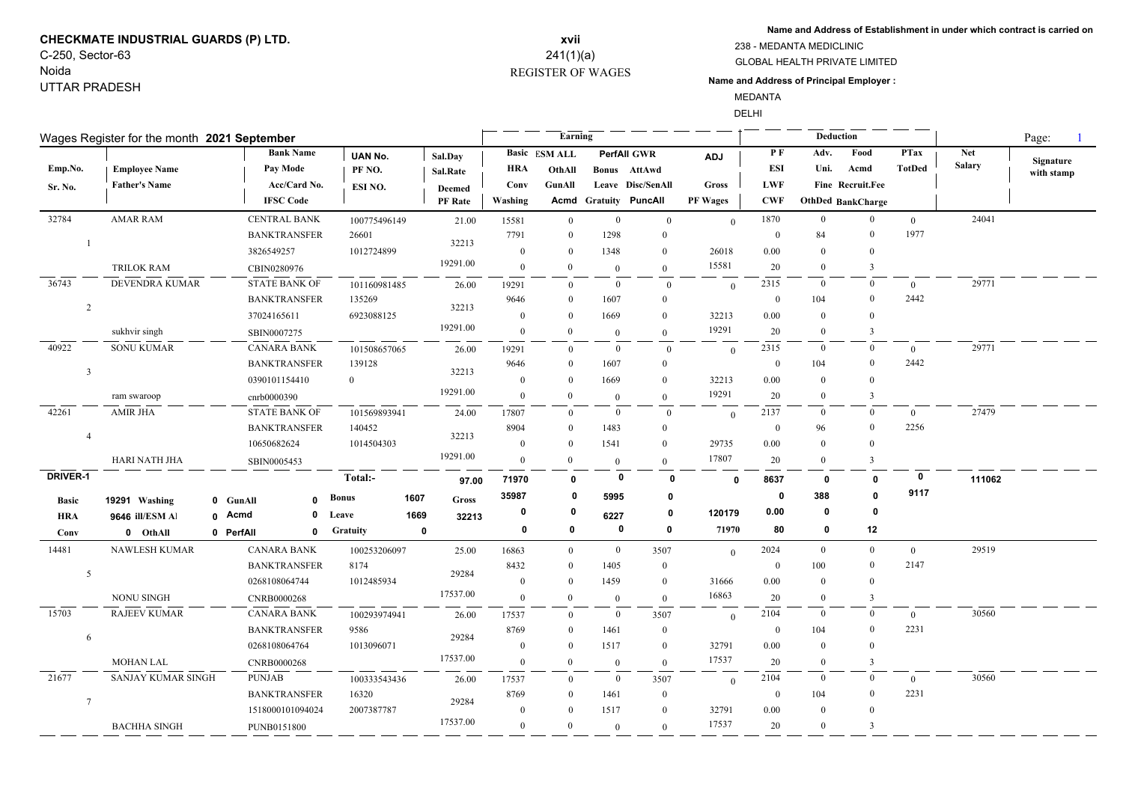## **CHECKMATE INDUSTRIAL GUARDS (P) LTD.** C-250, Sector-63

### Noida UTTAR PRADESH

## REGISTER OF WAGES **xvii** 241(1)(a)

**Name and Address of Establishment in under which contract is carried on**

GLOBAL HEALTH PRIVATE LIMITED 238 - MEDANTA MEDICLINIC

**Name and Address of Principal Employer :**

MEDANTA

DELHI

| Wages Register for the month 2021 September |                      |                           |                 |                      |                | <b>Earning</b>       |                |                       |                 |                | Deduction      |                   | Page:          |               |                         |
|---------------------------------------------|----------------------|---------------------------|-----------------|----------------------|----------------|----------------------|----------------|-----------------------|-----------------|----------------|----------------|-------------------|----------------|---------------|-------------------------|
|                                             |                      | <b>Bank Name</b>          | <b>UAN No.</b>  | Sal.Day              |                | <b>Basic ESM ALL</b> |                | <b>PerfAll GWR</b>    | <b>ADJ</b>      | $P$ F          | Adv.           | Food              | <b>PTax</b>    | <b>Net</b>    |                         |
| Emp.No.                                     | <b>Employee Name</b> | Pay Mode                  | PF NO.          | Sal.Rate             | <b>HRA</b>     | OthAll               |                | Bonus AttAwd          |                 | <b>ESI</b>     | Uni.           | Acmd              | <b>TotDed</b>  | <b>Salary</b> | Signature<br>with stamp |
| Sr. No.                                     | <b>Father's Name</b> | Acc/Card No.              | ESI NO.         | <b>Deemed</b>        | Conv           | GunAll               |                | Leave Disc/SenAll     | <b>Gross</b>    | <b>LWF</b>     |                | Fine Recruit.Fee  |                |               |                         |
|                                             |                      | <b>IFSC Code</b>          |                 | <b>PF</b> Rate       | Washing        |                      |                | Acmd Gratuity PuncAll | <b>PF Wages</b> | <b>CWF</b>     |                | OthDed BankCharge |                |               |                         |
| 32784                                       | <b>AMAR RAM</b>      | <b>CENTRAL BANK</b>       | 100775496149    | 21.00                | 15581          | $\theta$             | $\overline{0}$ | $\mathbf{0}$          | $\overline{0}$  | 1870           | $\overline{0}$ | $\mathbf{0}$      | $\overline{0}$ | 24041         |                         |
|                                             |                      | <b>BANKTRANSFER</b>       | 26601           |                      | 7791           | $\Omega$             | 1298           | $\overline{0}$        |                 | $\bf{0}$       | 84             | $\theta$          | 1977           |               |                         |
|                                             |                      | 3826549257                | 1012724899      | 32213                | $\mathbf{0}$   | $\theta$             | 1348           | $\mathbf{0}$          | 26018           | $0.00\,$       | $\overline{0}$ | $\mathbf{0}$      |                |               |                         |
|                                             | <b>TRILOK RAM</b>    | CBIN0280976               |                 | 19291.00             | $\mathbf{0}$   | $\mathbf{0}$         | $\overline{0}$ | $\overline{0}$        | 15581           | 20             | $\mathbf{0}$   | $\mathbf{3}$      |                |               |                         |
| 36743                                       | DEVENDRA KUMAR       | <b>STATE BANK OF</b>      | 101160981485    | 26.00                | 19291          | $\Omega$             | $\bf{0}$       | $\overline{0}$        | $\theta$        | 2315           | $\overline{0}$ | $\mathbf{0}$      | $\overline{0}$ | 29771         |                         |
|                                             |                      | <b>BANKTRANSFER</b>       | 135269          |                      | 9646           | $\Omega$             | 1607           | $\overline{0}$        |                 | $\mathbf{0}$   | 104            | $\theta$          | 2442           |               |                         |
| $\overline{2}$                              |                      | 37024165611               | 6923088125      | 32213                |                | $\Omega$             | 1669           | $\overline{0}$        | 32213           | 0.00           | $\mathbf{0}$   | $\theta$          |                |               |                         |
|                                             | sukhvir singh        | SBIN0007275               |                 | 19291.00             | $\mathbf{0}$   | $\mathbf{0}$         | $\overline{0}$ | $\overline{0}$        | 19291           | 20             | $\Omega$       | 3                 |                |               |                         |
| 40922                                       | <b>SONU KUMAR</b>    | <b>CANARA BANK</b>        | 101508657065    | 26.00                | 19291          | $\Omega$             | $\overline{0}$ | $\overline{0}$        | $\theta$        | 2315           | $\overline{0}$ | $\overline{0}$    | $\overline{0}$ | 29771         |                         |
| $\overline{\mathbf{3}}$                     |                      | <b>BANKTRANSFER</b>       | 139128          |                      | 9646           | $\Omega$             | 1607           | $\mathbf{0}$          |                 | $\mathbf{0}$   | 104            | $\theta$          | 2442           |               |                         |
|                                             |                      | 0390101154410             | $\theta$        | 32213                | $\mathbf{0}$   | $\Omega$             | 1669           | $\overline{0}$        | 32213           | 0.00           | $\mathbf{0}$   | $\theta$          |                |               |                         |
|                                             | ram swaroop          | cnrb0000390               |                 | 19291.00             | $\theta$       | $\Omega$             | $\overline{0}$ | $\mathbf{0}$          | 19291           | 20             | $\Omega$       | 3                 |                |               |                         |
| 42261                                       | <b>AMIR JHA</b>      | <b>STATE BANK OF</b>      | 101569893941    | 24.00                | 17807          | $\Omega$             | $\bf{0}$       | $\overline{0}$        | $\theta$        | 2137           | $\bf{0}$       | $\mathbf{0}$      | $\overline{0}$ | 27479         |                         |
| $\overline{A}$                              |                      | <b>BANKTRANSFER</b>       | 140452          | 32213                | 8904           | $\Omega$             | 1483           | $\overline{0}$        |                 | $\theta$       | 96             | $\theta$          | 2256           |               |                         |
|                                             |                      | 10650682624               | 1014504303      |                      | $\mathbf{0}$   | $\Omega$             | 1541           | $\mathbf{0}$          | 29735           | 0.00           | $\overline{0}$ | $\theta$          |                |               |                         |
|                                             | <b>HARI NATH JHA</b> | SBIN0005453               |                 | 19291.00             | $\overline{0}$ | $\Omega$             | $\overline{0}$ | $\overline{0}$        | 17807           | 20             | $\mathbf{0}$   | $\overline{3}$    |                |               |                         |
| <b>DRIVER-1</b>                             |                      |                           | Total:-         | 97.00                | 71970          | $\mathbf{0}$         | 0              | $\Omega$              | $\mathbf{0}$    | 8637           | 0              | 0                 | 0              | 111062        |                         |
| <b>Basic</b>                                | 19291 Washing        | 0 GunAll<br>$\mathbf{0}$  | <b>Bonus</b>    | 1607<br><b>Gross</b> | 35987          | $\mathbf{0}$         | 5995           | 0                     |                 | $\mathbf 0$    | 388            | n                 | 9117           |               |                         |
| <b>HRA</b>                                  | 9646 ill/ESM Al      | 0 Acmd<br>0               | Leave           | 1669<br>32213        | 0              | 0                    | 6227           | 0                     | 120179          | 0.00           | 0              | 0                 |                |               |                         |
| Conv                                        | 0 OthAll             | 0 PerfAll<br>$\mathbf{0}$ | <b>Gratuity</b> | $\mathbf 0$          | $\mathbf 0$    | $\mathbf 0$          | $\mathbf 0$    | 0                     | 71970           | 80             | $\mathbf 0$    | 12                |                |               |                         |
| 14481                                       | NAWLESH KUMAR        | <b>CANARA BANK</b>        | 100253206097    | 25.00                | 16863          | $\theta$             | $\bf{0}$       | 3507                  | $\overline{0}$  | 2024           | $\bf{0}$       | $\bf{0}$          | $\overline{0}$ | 29519         |                         |
|                                             |                      | <b>BANKTRANSFER</b>       | 8174            |                      | 8432           | $\theta$             | 1405           | $\bf{0}$              |                 | $\bf{0}$       | 100            | $\theta$          | 2147           |               |                         |
| 5                                           |                      | 0268108064744             | 1012485934      | 29284                | $\mathbf{0}$   | $\Omega$             | 1459           | $\bf{0}$              | 31666           | 0.00           | $\Omega$       | $\theta$          |                |               |                         |
|                                             | <b>NONU SINGH</b>    | CNRB0000268               |                 | 17537.00             | $\theta$       | $\Omega$             | $\overline{0}$ | $\mathbf{0}$          | 16863           | 20             | $\overline{0}$ | 3                 |                |               |                         |
| 15703                                       | <b>RAJEEV KUMAR</b>  | <b>CANARA BANK</b>        | 100293974941    | 26.00                | 17537          | $\Omega$             | $\overline{0}$ | 3507                  | $\overline{0}$  | 2104           | $\overline{0}$ | $\mathbf{0}$      | $\overline{0}$ | 30560         |                         |
|                                             |                      | <b>BANKTRANSFER</b>       | 9586            |                      | 8769           | $\Omega$             | 1461           | $\overline{0}$        |                 | $\overline{0}$ | 104            | $\theta$          | 2231           |               |                         |
| 6                                           |                      | 0268108064764             |                 | 29284                | $\mathbf{0}$   | $\Omega$             | 1517           | $\bf{0}$              | 32791           | 0.00           | $\mathbf{0}$   | $\theta$          |                |               |                         |
|                                             | <b>MOHAN LAL</b>     | CNRB0000268               |                 | 17537.00             | $\theta$       | $\Omega$             | $\overline{0}$ | $\mathbf{0}$          | 17537           | 20             | $\overline{0}$ | 3                 |                |               |                         |
| 21677                                       | SANJAY KUMAR SINGH   | <b>PUNJAB</b>             | 100333543436    | 26.00                | 17537          | $\theta$             | $\bf{0}$       | 3507                  | $\overline{0}$  | 2104           | $\bf{0}$       | $\mathbf{0}$      | $\overline{0}$ | 30560         |                         |
| $\overline{7}$                              |                      | <b>BANKTRANSFER</b>       | 16320           |                      | 8769           | $\Omega$             | 1461           | $\overline{0}$        |                 | $\bf{0}$       | 104            | $\mathbf{0}$      | 2231           |               |                         |
|                                             |                      | 1518000101094024          | 2007387787      | 29284                | $\theta$       | $\Omega$             | 1517           | $\mathbf{0}$          | 32791           | 0.00           | $\mathbf{0}$   | $\theta$          |                |               |                         |
|                                             | <b>BACHHA SINGH</b>  | PUNB0151800               |                 | 17537.00             | $\theta$       | $\Omega$             | $\overline{0}$ | $\theta$              | 17537           | 20             | $\Omega$       | $\overline{3}$    |                |               |                         |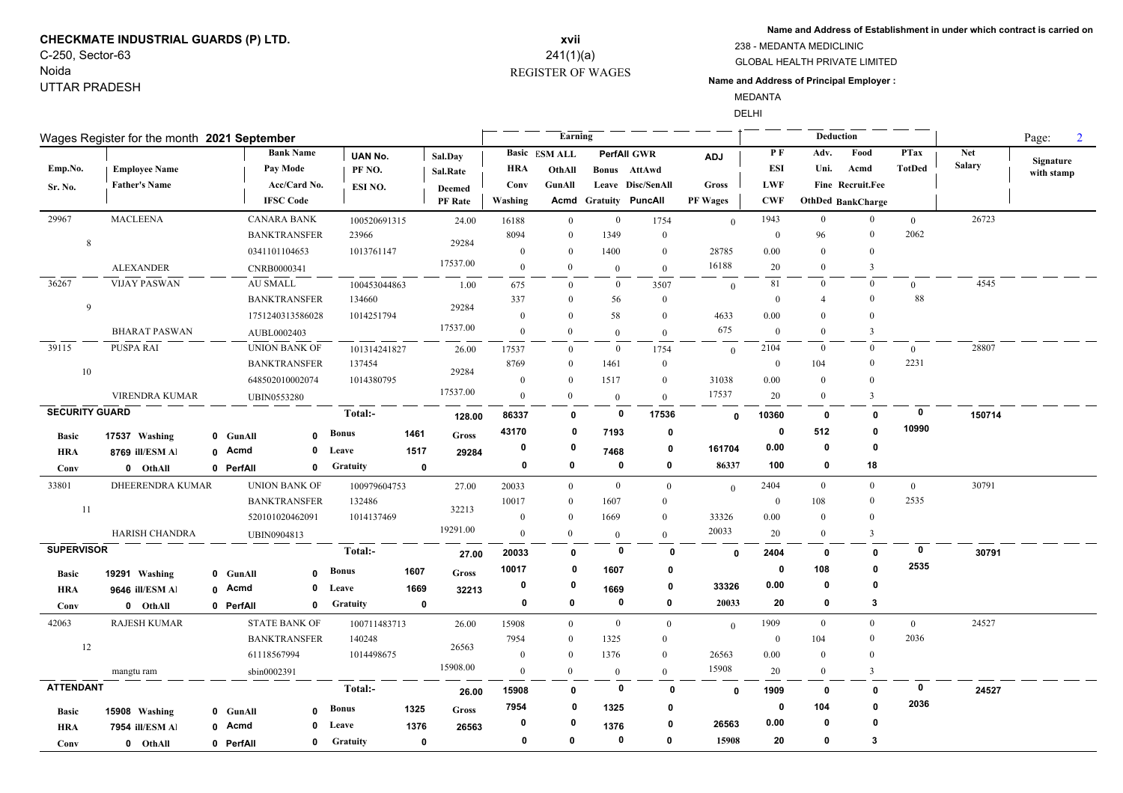# **CHECKMATE INDUSTRIAL GUARDS (P) LTD.** C-250, Sector-63

Noida UTTAR PRADESH

## REGISTER OF WAGES **xvii** 241(1)(a)

**Name and Address of Establishment in under which contract is carried on**

GLOBAL HEALTH PRIVATE LIMITED 238 - MEDANTA MEDICLINIC

#### **Name and Address of Principal Employer :**

MEDANTA

DELHI

| Wages Register for the month 2021 September |                                              |  |                      |                                  |                              |             |                                 |                    | Earning                                  |                  |                                                         |                     |                  | Deduction      |                                  | Page:<br>$\overline{2}$      |                      |                         |
|---------------------------------------------|----------------------------------------------|--|----------------------|----------------------------------|------------------------------|-------------|---------------------------------|--------------------|------------------------------------------|------------------|---------------------------------------------------------|---------------------|------------------|----------------|----------------------------------|------------------------------|----------------------|-------------------------|
| Emp.No.<br>Sr. No.                          | <b>Employee Name</b><br><b>Father's Name</b> |  | Pay Mode             | <b>Bank Name</b><br>Acc/Card No. | UAN No.<br>PF NO.<br>ESI NO. |             | Sal.Day<br>Sal.Rate             | <b>HRA</b><br>Conv | <b>Basic</b> ESM ALL<br>OthAll<br>GunAll |                  | <b>PerfAll GWR</b><br>Bonus AttAwd<br>Leave Disc/SenAll | <b>ADJ</b><br>Gross | PF<br>ESI<br>LWF | Adv.<br>Uni.   | Food<br>Acmd<br>Fine Recruit.Fee | <b>PTax</b><br><b>TotDed</b> | Net<br><b>Salary</b> | Signature<br>with stamp |
|                                             |                                              |  | <b>IFSC Code</b>     |                                  |                              |             | <b>Deemed</b><br><b>PF</b> Rate | Washing            |                                          |                  | <b>Acmd Gratuity PuncAll</b>                            | <b>PF Wages</b>     | <b>CWF</b>       |                | <b>OthDed BankCharge</b>         |                              |                      |                         |
| 29967                                       | <b>MACLEENA</b>                              |  | <b>CANARA BANK</b>   |                                  | 100520691315                 |             | 24.00                           | 16188              | $\mathbf{0}$                             | $\boldsymbol{0}$ | 1754                                                    | $\theta$            | 1943             | $\bf{0}$       | $\mathbf{0}$                     | $\overline{0}$               | 26723                |                         |
| 8                                           |                                              |  | <b>BANKTRANSFER</b>  |                                  | 23966                        |             | 29284                           | 8094               | $\theta$                                 | 1349             | $\mathbf{0}$                                            |                     | $\bf{0}$         | 96             | $\mathbf{0}$                     | 2062                         |                      |                         |
|                                             |                                              |  | 0341101104653        |                                  | 1013761147                   |             |                                 | $\overline{0}$     | $\theta$                                 | 1400             | $\overline{0}$                                          | 28785               | 0.00             | $\theta$       | $\theta$                         |                              |                      |                         |
|                                             | <b>ALEXANDER</b>                             |  | CNRB0000341          |                                  |                              |             | 17537.00                        | $\theta$           | $\Omega$                                 | $\mathbf{0}$     | $\mathbf{0}$                                            | 16188               | 20               | $\theta$       | 3                                |                              |                      |                         |
| 36267                                       | <b>VIJAY PASWAN</b>                          |  | AU SMALL             |                                  | 100453044863                 |             | 1.00                            | 675                | $\overline{0}$                           | $\mathbf{0}$     | 3507                                                    | $\mathbf{0}$        | 81               | $\mathbf{0}$   | $\mathbf{0}$                     | $\overline{0}$               | 4545                 |                         |
| 9                                           |                                              |  | <b>BANKTRANSFER</b>  |                                  | 134660                       |             | 29284                           | 337                | $\theta$                                 | 56               | $\mathbf{0}$                                            |                     | $\mathbf{0}$     | 4              | $\theta$                         | 88                           |                      |                         |
|                                             |                                              |  | 1751240313586028     |                                  | 1014251794                   |             |                                 | $\mathbf{0}$       | $\Omega$                                 | 58               | $\mathbf{0}$                                            | 4633                | 0.00             | $\theta$       | $\Omega$                         |                              |                      |                         |
|                                             | <b>BHARAT PASWAN</b>                         |  | AUBL0002403          |                                  |                              |             | 17537.00                        | $\mathbf{0}$       | $\theta$                                 | $\theta$         | $\mathbf{0}$                                            | 675                 | $\mathbf{0}$     | $\Omega$       | $\mathbf{3}$                     |                              |                      |                         |
| 39115                                       | PUSPA RAI                                    |  | <b>UNION BANK OF</b> |                                  | 101314241827                 |             | 26.00                           | 17537              | $\mathbf{0}$                             | $\overline{0}$   | 1754                                                    | $\mathbf{0}$        | 2104             | $\bf{0}$       | $\bf{0}$                         | $\overline{0}$               | 28807                |                         |
| 10                                          |                                              |  | <b>BANKTRANSFER</b>  |                                  | 137454                       |             | 29284                           | 8769               | $\theta$                                 | 1461             | $\mathbf{0}$                                            |                     | $\mathbf{0}$     | 104            | $\mathbf{0}$                     | 2231                         |                      |                         |
|                                             |                                              |  | 648502010002074      |                                  | 1014380795                   |             |                                 | $\theta$           | $\Omega$                                 | 1517             | $\mathbf{0}$                                            | 31038               | 0.00             | $\theta$       | $\Omega$                         |                              |                      |                         |
|                                             | VIRENDRA KUMAR                               |  | <b>UBIN0553280</b>   |                                  |                              |             | 17537.00                        | $\mathbf{0}$       | $\Omega$                                 | $\overline{0}$   | $\overline{0}$                                          | 17537               | 20               | $\theta$       | 3                                |                              |                      |                         |
| <b>SECURITY GUARD</b><br>Total:-            |                                              |  |                      | 128.00                           | 86337                        | 0           | $\bf{0}$                        | 17536              | $\mathbf 0$                              | 10360            | 0                                                       | $\mathbf 0$         | $\mathbf 0$      | 150714         |                                  |                              |                      |                         |
| <b>Basic</b>                                | 17537 Washing                                |  | 0 GunAll             | $\Omega$                         | Bonus                        | 1461        | Gross                           | 43170              | 0                                        | 7193             | $\mathbf 0$                                             |                     | 0                | 512            | $\mathbf{0}$                     | 10990                        |                      |                         |
| <b>HRA</b>                                  | 8769 ill/ESM Al                              |  | 0 Acmd               | $\mathbf{0}$                     | Leave                        | 1517        | 29284                           | 0                  | 0                                        | 7468             | 0                                                       | 161704              | 0.00             | 0              | 0                                |                              |                      |                         |
| Conv                                        | 0 OthAll                                     |  | 0 PerfAll            | $\mathbf 0$                      | <b>Gratuity</b>              | $\mathbf 0$ |                                 | 0                  | $\mathbf{0}$                             | 0                | 0                                                       | 86337               | 100              | 0              | 18                               |                              |                      |                         |
| 33801                                       | DHEERENDRA KUMAR                             |  | <b>UNION BANK OF</b> |                                  | 100979604753                 |             | 27.00                           | 20033              | $\mathbf{0}$                             | $\overline{0}$   | $\mathbf{0}$                                            | $\theta$            | 2404             | $\bf{0}$       | $\mathbf{0}$                     | $\overline{0}$               | 30791                |                         |
|                                             |                                              |  | <b>BANKTRANSFER</b>  |                                  | 132486                       |             |                                 | 10017              | $\theta$                                 | 1607             | $\overline{0}$                                          |                     | $\mathbf{0}$     | 108            | $\mathbf{0}$                     | 2535                         |                      |                         |
| 11                                          |                                              |  | 520101020462091      |                                  | 1014137469                   |             | 32213                           | $\mathbf{0}$       | $\theta$                                 | 1669             | $\mathbf{0}$                                            | 33326               | 0.00             | $\theta$       | $\theta$                         |                              |                      |                         |
|                                             | HARISH CHANDRA                               |  | UBIN0904813          |                                  |                              |             | 19291.00                        | $\mathbf{0}$       | $\boldsymbol{0}$                         | $\overline{0}$   | $\mathbf{0}$                                            | 20033               | 20               | $\overline{0}$ | $\overline{3}$                   |                              |                      |                         |
| <b>SUPERVISOR</b>                           |                                              |  |                      |                                  | Total:-                      |             | 27.00                           | 20033              | $\mathbf{0}$                             | $\mathbf 0$      | $\mathbf{0}$                                            | $\mathbf{0}$        | 2404             | $\mathbf 0$    | $\mathbf{0}$                     | $\mathbf 0$                  | 30791                |                         |
| <b>Basic</b>                                | 19291 Washing                                |  | 0 GunAll             | $\mathbf 0$                      | <b>Bonus</b>                 | 1607        | <b>Gross</b>                    | 10017              | 0                                        | 1607             | 0                                                       |                     | 0                | 108            | $\Omega$                         | 2535                         |                      |                         |
| <b>HRA</b>                                  | 9646 ill/ESM Al                              |  | 0 Acmd               | 0                                | Leave                        | 1669        | 32213                           | 0                  | -0                                       | 1669             | 0                                                       | 33326               | 0.00             | 0              | 0                                |                              |                      |                         |
| Conv                                        | 0 OthAll                                     |  | 0 PerfAll            | $\mathbf 0$                      | <b>Gratuity</b>              | $\mathbf 0$ |                                 | 0                  | 0                                        | $\mathbf 0$      | $\mathbf 0$                                             | 20033               | 20               | 0              | 3                                |                              |                      |                         |
| 42063                                       | <b>RAJESH KUMAR</b>                          |  | <b>STATE BANK OF</b> |                                  | 100711483713                 |             | 26.00                           | 15908              | $\Omega$                                 | $\bf{0}$         | $\mathbf{0}$                                            | $\theta$            | 1909             | $\bf{0}$       | $\overline{0}$                   | $\theta$                     | 24527                |                         |
|                                             |                                              |  | <b>BANKTRANSFER</b>  |                                  | 140248                       |             |                                 | 7954               | $\Omega$                                 | 1325             | $\overline{0}$                                          |                     | $\boldsymbol{0}$ | 104            | $\mathbf{0}$                     | 2036                         |                      |                         |
| 12                                          |                                              |  | 61118567994          |                                  | 1014498675                   |             | 26563                           | $\mathbf{0}$       | $\theta$                                 | 1376             | $\mathbf{0}$                                            | 26563               | 0.00             | $\theta$       | $\mathbf{0}$                     |                              |                      |                         |
|                                             | mangtu ram                                   |  | sbin0002391          |                                  |                              |             | 15908.00                        | $\mathbf{0}$       | $\overline{0}$                           | $\overline{0}$   | $\mathbf{0}$                                            | 15908               | 20               | $\theta$       | 3                                |                              |                      |                         |
| <b>ATTENDANT</b>                            |                                              |  |                      |                                  | Total:-                      |             | 26.00                           | 15908              | 0                                        | 0                | $\mathbf{0}$                                            | $\mathbf{0}$        | 1909             | 0              | $\mathbf{0}$                     | 0                            | 24527                |                         |
| <b>Basic</b>                                | 15908 Washing                                |  | 0 GunAll             | $\Omega$                         | Bonus                        | 1325        | <b>Gross</b>                    | 7954               | 0                                        | 1325             | 0                                                       |                     | 0                | 104            | $\mathbf 0$                      | 2036                         |                      |                         |
| <b>HRA</b>                                  | 7954 ill/ESM Al                              |  | 0 Acmd               | 0                                | Leave                        | 1376        | 26563                           | 0                  | 0                                        | 1376             | 0                                                       | 26563               | 0.00             | 0              | $\Omega$                         |                              |                      |                         |
| Conv                                        | 0 OthAll                                     |  | 0 PerfAll            | 0                                | <b>Gratuity</b>              | $\mathbf 0$ |                                 | $\mathbf 0$        | $\mathbf{0}$                             | 0                | 0                                                       | 15908               | 20               | 0              | 3                                |                              |                      |                         |